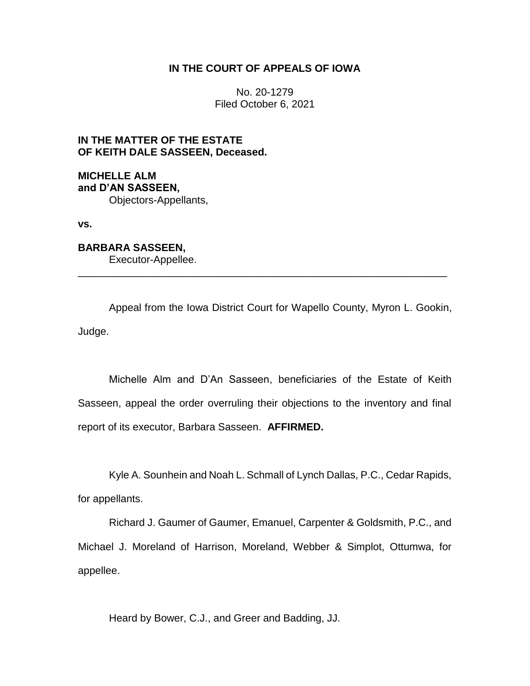### **IN THE COURT OF APPEALS OF IOWA**

No. 20-1279 Filed October 6, 2021

# **IN THE MATTER OF THE ESTATE OF KEITH DALE SASSEEN, Deceased.**

**MICHELLE ALM and D'AN SASSEEN,** Objectors-Appellants,

**vs.**

**BARBARA SASSEEN,** Executor-Appellee.

Appeal from the Iowa District Court for Wapello County, Myron L. Gookin, Judge.

\_\_\_\_\_\_\_\_\_\_\_\_\_\_\_\_\_\_\_\_\_\_\_\_\_\_\_\_\_\_\_\_\_\_\_\_\_\_\_\_\_\_\_\_\_\_\_\_\_\_\_\_\_\_\_\_\_\_\_\_\_\_\_\_

Michelle Alm and D'An Sasseen, beneficiaries of the Estate of Keith Sasseen, appeal the order overruling their objections to the inventory and final report of its executor, Barbara Sasseen. **AFFIRMED.**

Kyle A. Sounhein and Noah L. Schmall of Lynch Dallas, P.C., Cedar Rapids, for appellants.

Richard J. Gaumer of Gaumer, Emanuel, Carpenter & Goldsmith, P.C., and Michael J. Moreland of Harrison, Moreland, Webber & Simplot, Ottumwa, for appellee.

Heard by Bower, C.J., and Greer and Badding, JJ.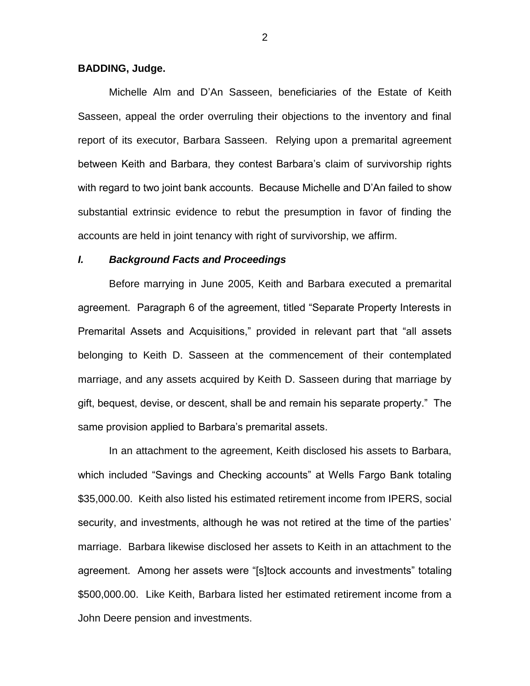#### **BADDING, Judge.**

Michelle Alm and D'An Sasseen, beneficiaries of the Estate of Keith Sasseen, appeal the order overruling their objections to the inventory and final report of its executor, Barbara Sasseen. Relying upon a premarital agreement between Keith and Barbara, they contest Barbara's claim of survivorship rights with regard to two joint bank accounts. Because Michelle and D'An failed to show substantial extrinsic evidence to rebut the presumption in favor of finding the accounts are held in joint tenancy with right of survivorship, we affirm.

#### *I. Background Facts and Proceedings*

Before marrying in June 2005, Keith and Barbara executed a premarital agreement. Paragraph 6 of the agreement, titled "Separate Property Interests in Premarital Assets and Acquisitions," provided in relevant part that "all assets belonging to Keith D. Sasseen at the commencement of their contemplated marriage, and any assets acquired by Keith D. Sasseen during that marriage by gift, bequest, devise, or descent, shall be and remain his separate property." The same provision applied to Barbara's premarital assets.

In an attachment to the agreement, Keith disclosed his assets to Barbara, which included "Savings and Checking accounts" at Wells Fargo Bank totaling \$35,000.00. Keith also listed his estimated retirement income from IPERS, social security, and investments, although he was not retired at the time of the parties' marriage. Barbara likewise disclosed her assets to Keith in an attachment to the agreement. Among her assets were "[s]tock accounts and investments" totaling \$500,000.00. Like Keith, Barbara listed her estimated retirement income from a John Deere pension and investments.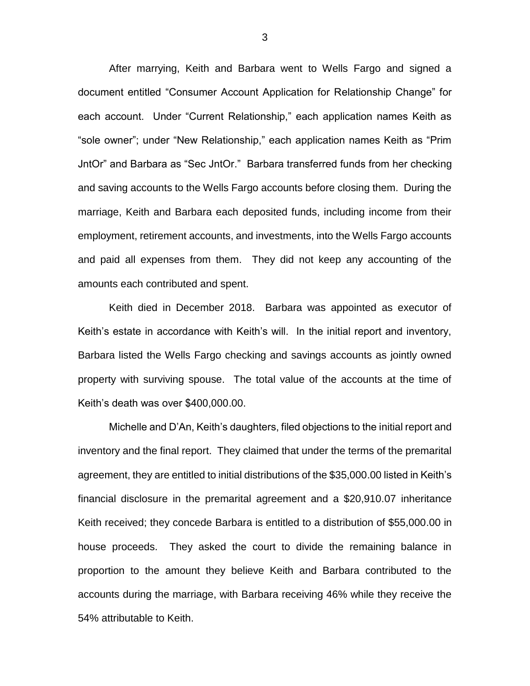After marrying, Keith and Barbara went to Wells Fargo and signed a document entitled "Consumer Account Application for Relationship Change" for each account. Under "Current Relationship," each application names Keith as "sole owner"; under "New Relationship," each application names Keith as "Prim JntOr" and Barbara as "Sec JntOr." Barbara transferred funds from her checking and saving accounts to the Wells Fargo accounts before closing them. During the marriage, Keith and Barbara each deposited funds, including income from their employment, retirement accounts, and investments, into the Wells Fargo accounts and paid all expenses from them. They did not keep any accounting of the amounts each contributed and spent.

Keith died in December 2018. Barbara was appointed as executor of Keith's estate in accordance with Keith's will. In the initial report and inventory, Barbara listed the Wells Fargo checking and savings accounts as jointly owned property with surviving spouse. The total value of the accounts at the time of Keith's death was over \$400,000.00.

Michelle and D'An, Keith's daughters, filed objections to the initial report and inventory and the final report. They claimed that under the terms of the premarital agreement, they are entitled to initial distributions of the \$35,000.00 listed in Keith's financial disclosure in the premarital agreement and a \$20,910.07 inheritance Keith received; they concede Barbara is entitled to a distribution of \$55,000.00 in house proceeds. They asked the court to divide the remaining balance in proportion to the amount they believe Keith and Barbara contributed to the accounts during the marriage, with Barbara receiving 46% while they receive the 54% attributable to Keith.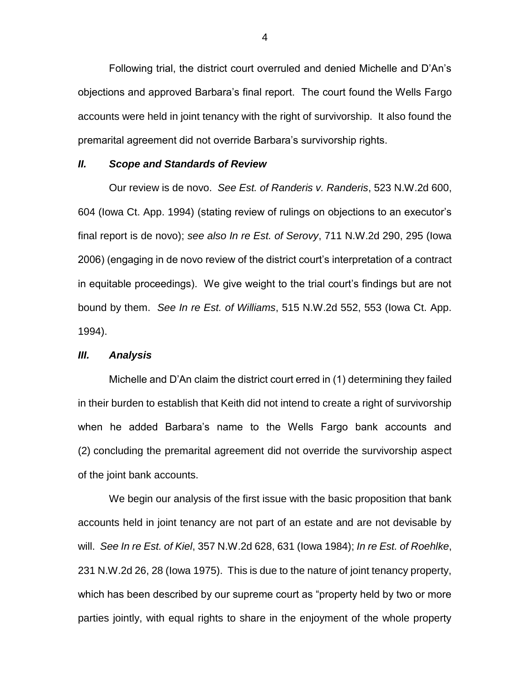Following trial, the district court overruled and denied Michelle and D'An's objections and approved Barbara's final report. The court found the Wells Fargo accounts were held in joint tenancy with the right of survivorship. It also found the premarital agreement did not override Barbara's survivorship rights.

#### *II. Scope and Standards of Review*

Our review is de novo. *See Est. of Randeris v. Randeris*, 523 N.W.2d 600, 604 (Iowa Ct. App. 1994) (stating review of rulings on objections to an executor's final report is de novo); *see also In re Est. of Serovy*, 711 N.W.2d 290, 295 (Iowa 2006) (engaging in de novo review of the district court's interpretation of a contract in equitable proceedings). We give weight to the trial court's findings but are not bound by them. *See In re Est. of Williams*, 515 N.W.2d 552, 553 (Iowa Ct. App. 1994).

### *III. Analysis*

Michelle and D'An claim the district court erred in (1) determining they failed in their burden to establish that Keith did not intend to create a right of survivorship when he added Barbara's name to the Wells Fargo bank accounts and (2) concluding the premarital agreement did not override the survivorship aspect of the joint bank accounts.

We begin our analysis of the first issue with the basic proposition that bank accounts held in joint tenancy are not part of an estate and are not devisable by will. *See In re Est. of Kiel*, 357 N.W.2d 628, 631 (Iowa 1984); *In re Est. of Roehlke*, 231 N.W.2d 26, 28 (Iowa 1975). This is due to the nature of joint tenancy property, which has been described by our supreme court as "property held by two or more parties jointly, with equal rights to share in the enjoyment of the whole property

4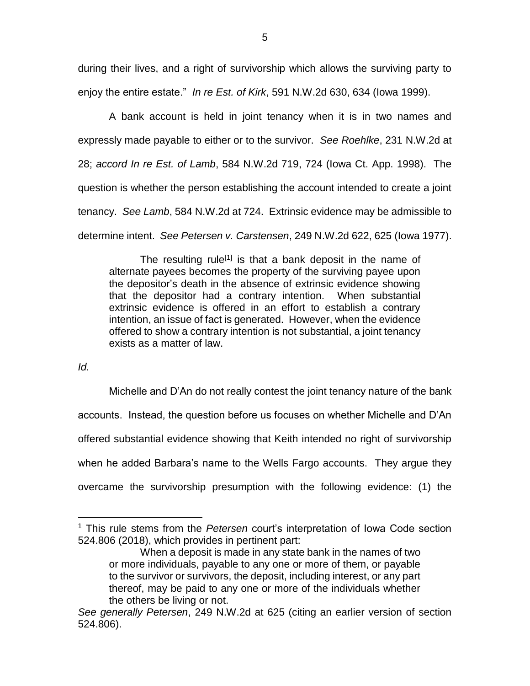during their lives, and a right of survivorship which allows the surviving party to enjoy the entire estate." *In re Est. of Kirk*, 591 N.W.2d 630, 634 (Iowa 1999).

A bank account is held in joint tenancy when it is in two names and expressly made payable to either or to the survivor. *See Roehlke*, 231 N.W.2d at 28; *accord In re Est. of Lamb*, 584 N.W.2d 719, 724 (Iowa Ct. App. 1998). The question is whether the person establishing the account intended to create a joint tenancy. *See Lamb*, 584 N.W.2d at 724.Extrinsic evidence may be admissible to determine intent. *See Petersen v. Carstensen*, 249 N.W.2d 622, 625 (Iowa 1977).

The resulting rule<sup>[1]</sup> is that a bank deposit in the name of alternate payees becomes the property of the surviving payee upon the depositor's death in the absence of extrinsic evidence showing that the depositor had a contrary intention. When substantial extrinsic evidence is offered in an effort to establish a contrary intention, an issue of fact is generated. However, when the evidence offered to show a contrary intention is not substantial, a joint tenancy exists as a matter of law.

*Id.*

 $\overline{a}$ 

Michelle and D'An do not really contest the joint tenancy nature of the bank accounts. Instead, the question before us focuses on whether Michelle and D'An offered substantial evidence showing that Keith intended no right of survivorship when he added Barbara's name to the Wells Fargo accounts. They argue they overcame the survivorship presumption with the following evidence: (1) the

<sup>1</sup> This rule stems from the *Petersen* court's interpretation of Iowa Code section 524.806 (2018), which provides in pertinent part:

When a deposit is made in any state bank in the names of two or more individuals, payable to any one or more of them, or payable to the survivor or survivors, the deposit, including interest, or any part thereof, may be paid to any one or more of the individuals whether the others be living or not.

*See generally Petersen*, 249 N.W.2d at 625 (citing an earlier version of section 524.806).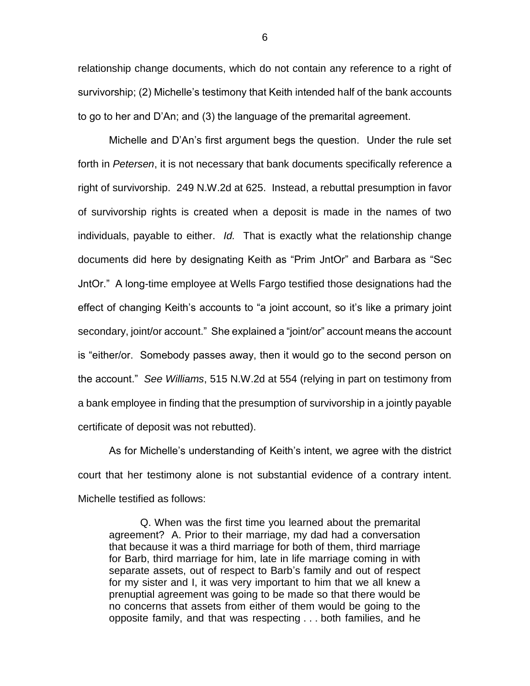relationship change documents, which do not contain any reference to a right of survivorship; (2) Michelle's testimony that Keith intended half of the bank accounts to go to her and D'An; and (3) the language of the premarital agreement.

Michelle and D'An's first argument begs the question. Under the rule set forth in *Petersen*, it is not necessary that bank documents specifically reference a right of survivorship. 249 N.W.2d at 625. Instead, a rebuttal presumption in favor of survivorship rights is created when a deposit is made in the names of two individuals, payable to either. *Id.* That is exactly what the relationship change documents did here by designating Keith as "Prim JntOr" and Barbara as "Sec JntOr." A long-time employee at Wells Fargo testified those designations had the effect of changing Keith's accounts to "a joint account, so it's like a primary joint secondary, joint/or account." She explained a "joint/or" account means the account is "either/or. Somebody passes away, then it would go to the second person on the account." *See Williams*, 515 N.W.2d at 554 (relying in part on testimony from a bank employee in finding that the presumption of survivorship in a jointly payable certificate of deposit was not rebutted).

As for Michelle's understanding of Keith's intent, we agree with the district court that her testimony alone is not substantial evidence of a contrary intent. Michelle testified as follows:

Q. When was the first time you learned about the premarital agreement? A. Prior to their marriage, my dad had a conversation that because it was a third marriage for both of them, third marriage for Barb, third marriage for him, late in life marriage coming in with separate assets, out of respect to Barb's family and out of respect for my sister and I, it was very important to him that we all knew a prenuptial agreement was going to be made so that there would be no concerns that assets from either of them would be going to the opposite family, and that was respecting . . . both families, and he

6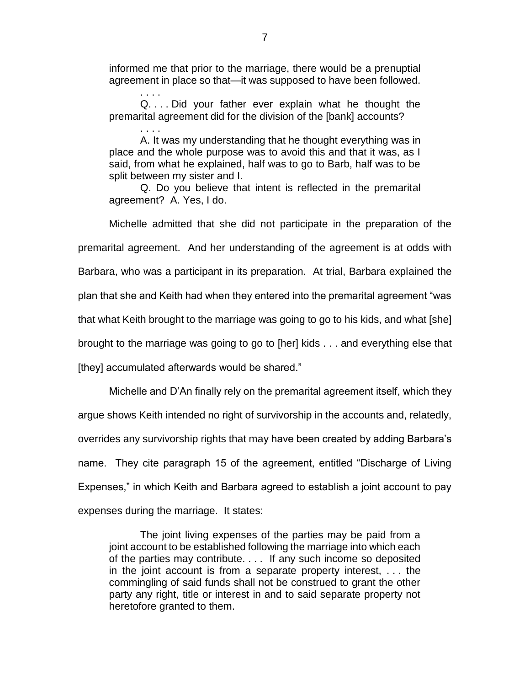informed me that prior to the marriage, there would be a prenuptial agreement in place so that—it was supposed to have been followed.

. . . . Q. . . . Did your father ever explain what he thought the premarital agreement did for the division of the [bank] accounts?

. . . . A. It was my understanding that he thought everything was in place and the whole purpose was to avoid this and that it was, as I said, from what he explained, half was to go to Barb, half was to be split between my sister and I.

Q. Do you believe that intent is reflected in the premarital agreement? A. Yes, I do.

Michelle admitted that she did not participate in the preparation of the premarital agreement. And her understanding of the agreement is at odds with Barbara, who was a participant in its preparation. At trial, Barbara explained the plan that she and Keith had when they entered into the premarital agreement "was that what Keith brought to the marriage was going to go to his kids, and what [she] brought to the marriage was going to go to [her] kids . . . and everything else that [they] accumulated afterwards would be shared."

Michelle and D'An finally rely on the premarital agreement itself, which they argue shows Keith intended no right of survivorship in the accounts and, relatedly, overrides any survivorship rights that may have been created by adding Barbara's name. They cite paragraph 15 of the agreement, entitled "Discharge of Living Expenses," in which Keith and Barbara agreed to establish a joint account to pay expenses during the marriage. It states:

The joint living expenses of the parties may be paid from a joint account to be established following the marriage into which each of the parties may contribute. . . . If any such income so deposited in the joint account is from a separate property interest, . . . the commingling of said funds shall not be construed to grant the other party any right, title or interest in and to said separate property not heretofore granted to them.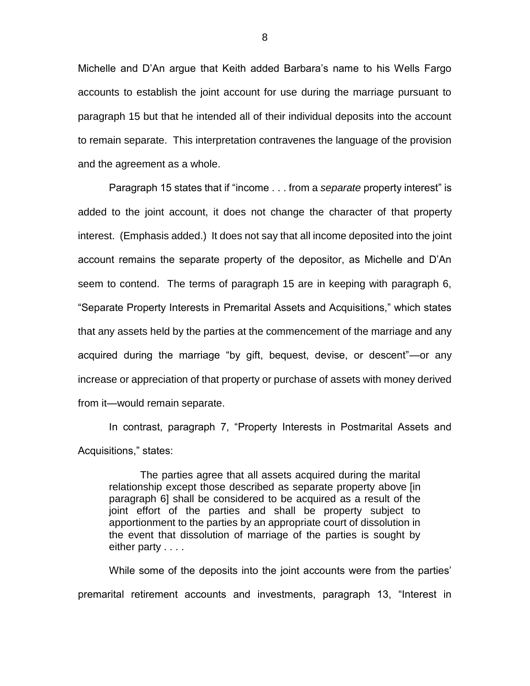Michelle and D'An argue that Keith added Barbara's name to his Wells Fargo accounts to establish the joint account for use during the marriage pursuant to paragraph 15 but that he intended all of their individual deposits into the account to remain separate. This interpretation contravenes the language of the provision and the agreement as a whole.

Paragraph 15 states that if "income . . . from a *separate* property interest" is added to the joint account, it does not change the character of that property interest. (Emphasis added.) It does not say that all income deposited into the joint account remains the separate property of the depositor, as Michelle and D'An seem to contend. The terms of paragraph 15 are in keeping with paragraph 6, "Separate Property Interests in Premarital Assets and Acquisitions," which states that any assets held by the parties at the commencement of the marriage and any acquired during the marriage "by gift, bequest, devise, or descent"—or any increase or appreciation of that property or purchase of assets with money derived from it—would remain separate.

In contrast, paragraph 7, "Property Interests in Postmarital Assets and Acquisitions," states:

The parties agree that all assets acquired during the marital relationship except those described as separate property above [in paragraph 6] shall be considered to be acquired as a result of the joint effort of the parties and shall be property subject to apportionment to the parties by an appropriate court of dissolution in the event that dissolution of marriage of the parties is sought by either party . . . .

While some of the deposits into the joint accounts were from the parties' premarital retirement accounts and investments, paragraph 13, "Interest in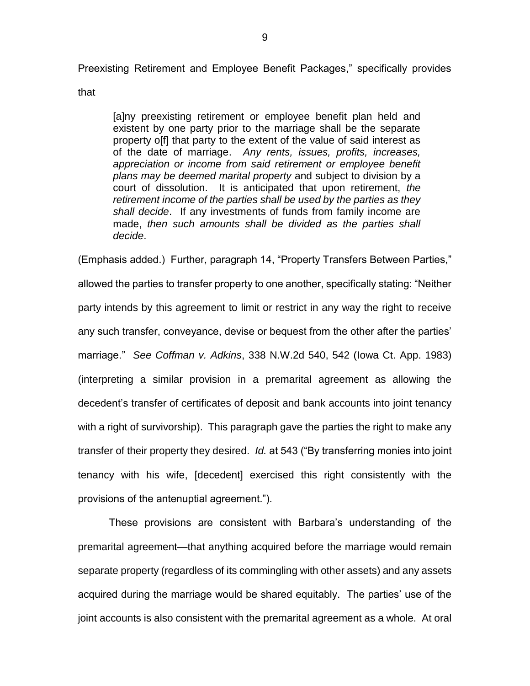Preexisting Retirement and Employee Benefit Packages," specifically provides

that

[a]ny preexisting retirement or employee benefit plan held and existent by one party prior to the marriage shall be the separate property off that party to the extent of the value of said interest as of the date of marriage. *Any rents, issues, profits, increases, appreciation or income from said retirement or employee benefit plans may be deemed marital property* and subject to division by a court of dissolution. It is anticipated that upon retirement, *the retirement income of the parties shall be used by the parties as they shall decide*. If any investments of funds from family income are made, *then such amounts shall be divided as the parties shall decide*.

(Emphasis added.) Further, paragraph 14, "Property Transfers Between Parties," allowed the parties to transfer property to one another, specifically stating: "Neither party intends by this agreement to limit or restrict in any way the right to receive any such transfer, conveyance, devise or bequest from the other after the parties' marriage." *See Coffman v. Adkins*, 338 N.W.2d 540, 542 (Iowa Ct. App. 1983) (interpreting a similar provision in a premarital agreement as allowing the decedent's transfer of certificates of deposit and bank accounts into joint tenancy with a right of survivorship). This paragraph gave the parties the right to make any transfer of their property they desired. *Id.* at 543 ("By transferring monies into joint tenancy with his wife, [decedent] exercised this right consistently with the provisions of the antenuptial agreement.").

These provisions are consistent with Barbara's understanding of the premarital agreement—that anything acquired before the marriage would remain separate property (regardless of its commingling with other assets) and any assets acquired during the marriage would be shared equitably. The parties' use of the joint accounts is also consistent with the premarital agreement as a whole. At oral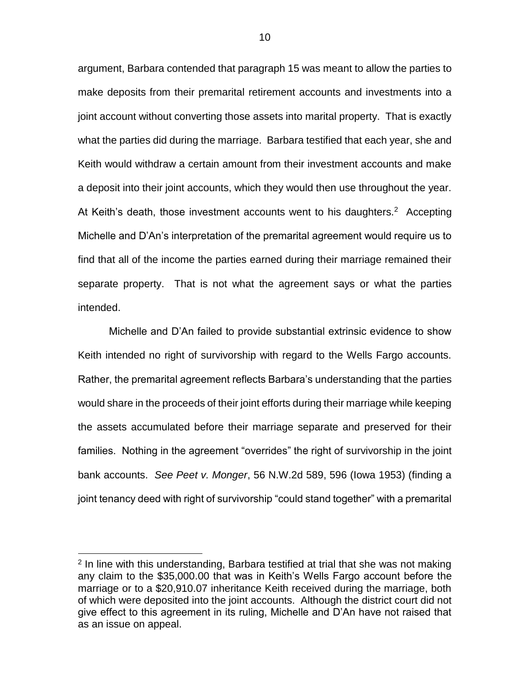argument, Barbara contended that paragraph 15 was meant to allow the parties to make deposits from their premarital retirement accounts and investments into a joint account without converting those assets into marital property. That is exactly what the parties did during the marriage. Barbara testified that each year, she and Keith would withdraw a certain amount from their investment accounts and make a deposit into their joint accounts, which they would then use throughout the year. At Keith's death, those investment accounts went to his daughters.<sup>2</sup> Accepting Michelle and D'An's interpretation of the premarital agreement would require us to find that all of the income the parties earned during their marriage remained their separate property. That is not what the agreement says or what the parties intended.

Michelle and D'An failed to provide substantial extrinsic evidence to show Keith intended no right of survivorship with regard to the Wells Fargo accounts. Rather, the premarital agreement reflects Barbara's understanding that the parties would share in the proceeds of their joint efforts during their marriage while keeping the assets accumulated before their marriage separate and preserved for their families. Nothing in the agreement "overrides" the right of survivorship in the joint bank accounts. *See Peet v. Monger*, 56 N.W.2d 589, 596 (Iowa 1953) (finding a joint tenancy deed with right of survivorship "could stand together" with a premarital

 $\overline{a}$ 

<sup>&</sup>lt;sup>2</sup> In line with this understanding, Barbara testified at trial that she was not making any claim to the \$35,000.00 that was in Keith's Wells Fargo account before the marriage or to a \$20,910.07 inheritance Keith received during the marriage, both of which were deposited into the joint accounts. Although the district court did not give effect to this agreement in its ruling, Michelle and D'An have not raised that as an issue on appeal.